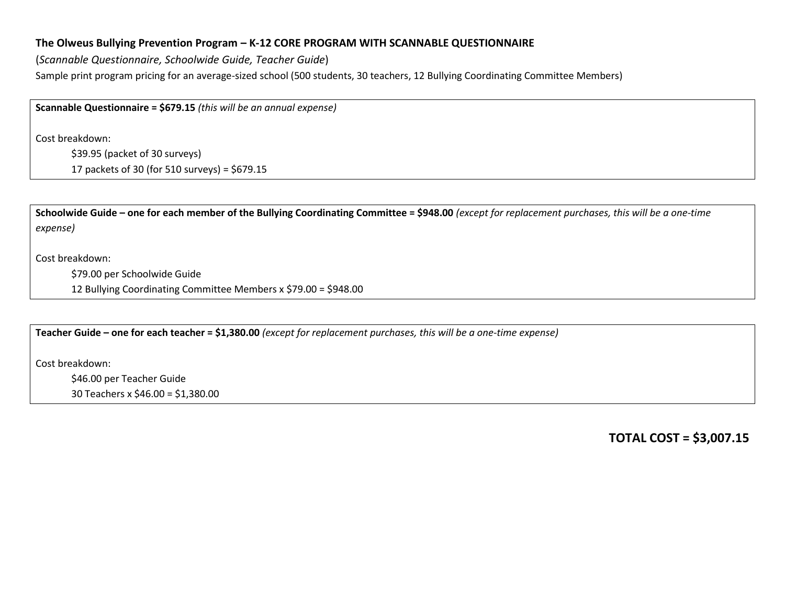## **The Olweus Bullying Prevention Program – K-12 CORE PROGRAM WITH SCANNABLE QUESTIONNAIRE**

(*Scannable Questionnaire, Schoolwide Guide, Teacher Guide*) Sample print program pricing for an average-sized school (500 students, 30 teachers, 12 Bullying Coordinating Committee Members)

**Scannable Questionnaire = \$679.15** *(this will be an annual expense)*

Cost breakdown:

\$39.95 (packet of 30 surveys)

17 packets of 30 (for 510 surveys) = \$679.15

**Schoolwide Guide – one for each member of the Bullying Coordinating Committee = \$948.00** *(except for replacement purchases, this will be a one-time expense)*

Cost breakdown:

\$79.00 per Schoolwide Guide

12 Bullying Coordinating Committee Members x \$79.00 = \$948.00

**Teacher Guide – one for each teacher = \$1,380.00** *(except for replacement purchases, this will be a one-time expense)*

Cost breakdown:

\$46.00 per Teacher Guide 30 Teachers x \$46.00 = \$1,380.00

**TOTAL COST = \$3,007.15**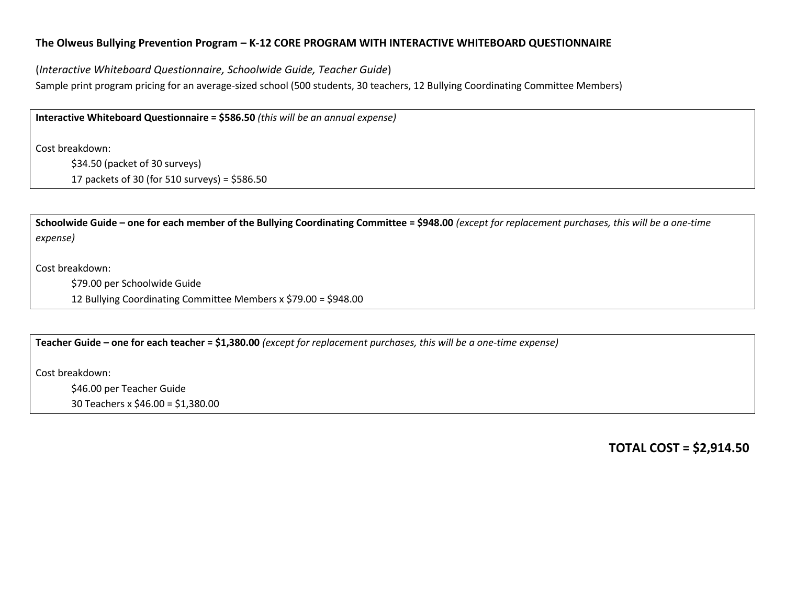## **The Olweus Bullying Prevention Program – K-12 CORE PROGRAM WITH INTERACTIVE WHITEBOARD QUESTIONNAIRE**

(*Interactive Whiteboard Questionnaire, Schoolwide Guide, Teacher Guide*) Sample print program pricing for an average-sized school (500 students, 30 teachers, 12 Bullying Coordinating Committee Members)

**Interactive Whiteboard Questionnaire = \$586.50** *(this will be an annual expense)*

Cost breakdown:

\$34.50 (packet of 30 surveys)

17 packets of 30 (for 510 surveys) = \$586.50

**Schoolwide Guide – one for each member of the Bullying Coordinating Committee = \$948.00** *(except for replacement purchases, this will be a one-time expense)*

Cost breakdown:

\$79.00 per Schoolwide Guide

12 Bullying Coordinating Committee Members x \$79.00 = \$948.00

**Teacher Guide – one for each teacher = \$1,380.00** *(except for replacement purchases, this will be a one-time expense)*

Cost breakdown:

\$46.00 per Teacher Guide 30 Teachers x \$46.00 = \$1,380.00

**TOTAL COST = \$2,914.50**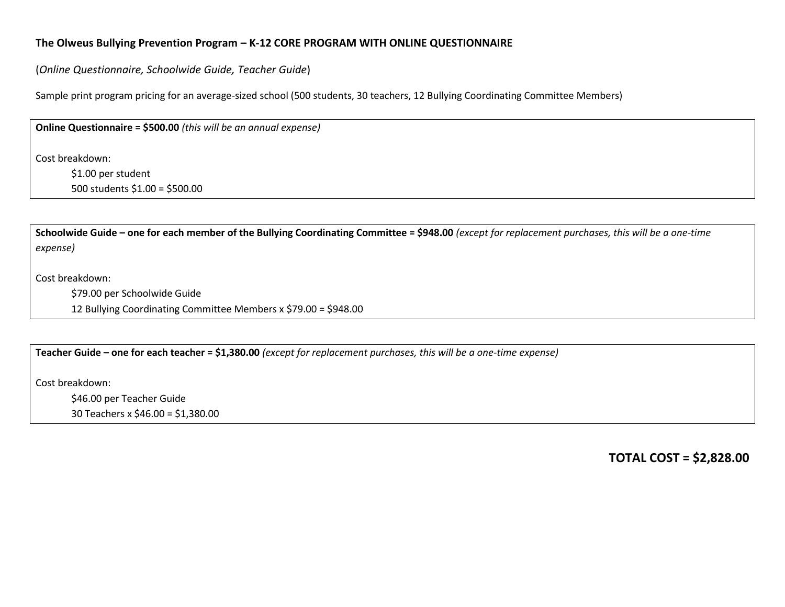## **The Olweus Bullying Prevention Program – K-12 CORE PROGRAM WITH ONLINE QUESTIONNAIRE**

(*Online Questionnaire, Schoolwide Guide, Teacher Guide*)

Sample print program pricing for an average-sized school (500 students, 30 teachers, 12 Bullying Coordinating Committee Members)

**Online Questionnaire = \$500.00** *(this will be an annual expense)*

Cost breakdown:

\$1.00 per student 500 students \$1.00 = \$500.00

**Schoolwide Guide – one for each member of the Bullying Coordinating Committee = \$948.00** *(except for replacement purchases, this will be a one-time expense)*

Cost breakdown:

\$79.00 per Schoolwide Guide

12 Bullying Coordinating Committee Members x \$79.00 = \$948.00

**Teacher Guide – one for each teacher = \$1,380.00** *(except for replacement purchases, this will be a one-time expense)*

Cost breakdown:

\$46.00 per Teacher Guide

30 Teachers x \$46.00 = \$1,380.00

**TOTAL COST = \$2,828.00**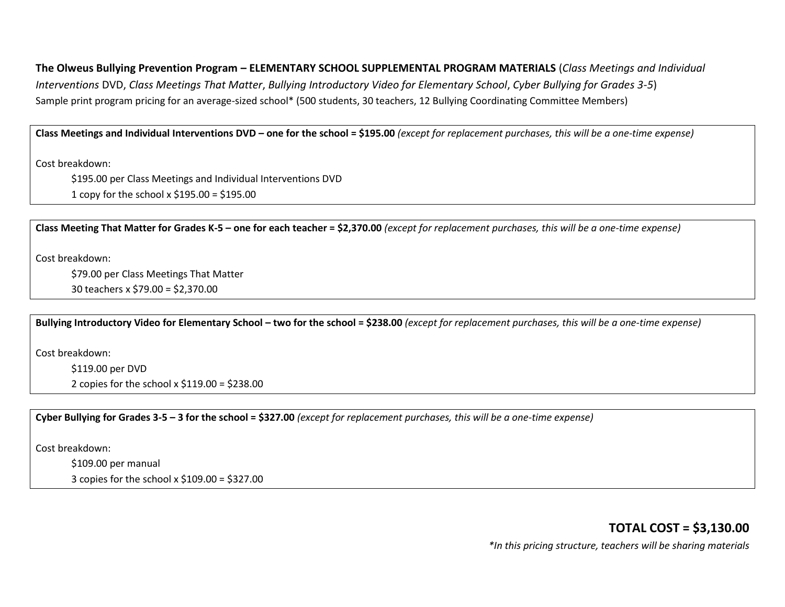# **The Olweus Bullying Prevention Program – ELEMENTARY SCHOOL SUPPLEMENTAL PROGRAM MATERIALS** (*Class Meetings and Individual*

*Interventions* DVD, *Class Meetings That Matter*, *Bullying Introductory Video for Elementary School*, *Cyber Bullying for Grades 3-5*) Sample print program pricing for an average-sized school\* (500 students, 30 teachers, 12 Bullying Coordinating Committee Members)

#### **Class Meetings and Individual Interventions DVD – one for the school = \$195.00** *(except for replacement purchases, this will be a one-time expense)*

Cost breakdown:

\$195.00 per Class Meetings and Individual Interventions DVD 1 copy for the school x \$195.00 = \$195.00

**Class Meeting That Matter for Grades K-5 – one for each teacher = \$2,370.00** *(except for replacement purchases, this will be a one-time expense)*

Cost breakdown:

\$79.00 per Class Meetings That Matter

30 teachers x \$79.00 = \$2,370.00

**Bullying Introductory Video for Elementary School – two for the school = \$238.00** *(except for replacement purchases, this will be a one-time expense)*

Cost breakdown:

\$119.00 per DVD

2 copies for the school  $x$  \$119.00 = \$238.00

**Cyber Bullying for Grades 3-5 – 3 for the school = \$327.00** *(except for replacement purchases, this will be a one-time expense)*

Cost breakdown:

\$109.00 per manual

3 copies for the school x \$109.00 = \$327.00

**TOTAL COST = \$3,130.00** *\*In this pricing structure, teachers will be sharing materials*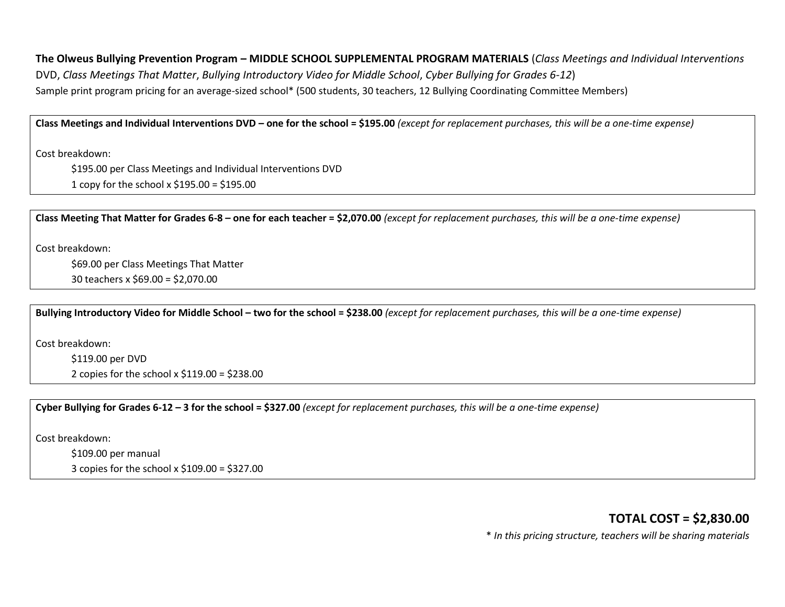**The Olweus Bullying Prevention Program – MIDDLE SCHOOL SUPPLEMENTAL PROGRAM MATERIALS** (*Class Meetings and Individual Interventions* DVD, *Class Meetings That Matter*, *Bullying Introductory Video for Middle School*, *Cyber Bullying for Grades 6-12*) Sample print program pricing for an average-sized school\* (500 students, 30 teachers, 12 Bullying Coordinating Committee Members)

**Class Meetings and Individual Interventions DVD – one for the school = \$195.00** *(except for replacement purchases, this will be a one-time expense)*

Cost breakdown:

\$195.00 per Class Meetings and Individual Interventions DVD 1 copy for the school x \$195.00 = \$195.00

**Class Meeting That Matter for Grades 6-8 – one for each teacher = \$2,070.00** *(except for replacement purchases, this will be a one-time expense)*

Cost breakdown:

\$69.00 per Class Meetings That Matter

30 teachers x \$69.00 = \$2,070.00

**Bullying Introductory Video for Middle School – two for the school = \$238.00** *(except for replacement purchases, this will be a one-time expense)*

Cost breakdown:

\$119.00 per DVD

2 copies for the school x \$119.00 = \$238.00

**Cyber Bullying for Grades 6-12 – 3 for the school = \$327.00** *(except for replacement purchases, this will be a one-time expense)*

Cost breakdown:

\$109.00 per manual

3 copies for the school x \$109.00 = \$327.00

**TOTAL COST = \$2,830.00**

\* *In this pricing structure, teachers will be sharing materials*